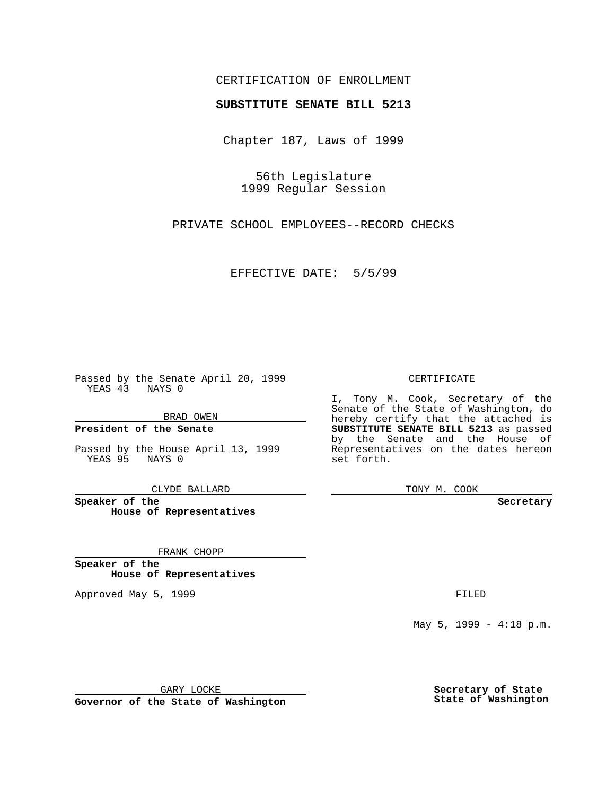## CERTIFICATION OF ENROLLMENT

## **SUBSTITUTE SENATE BILL 5213**

Chapter 187, Laws of 1999

56th Legislature 1999 Regular Session

PRIVATE SCHOOL EMPLOYEES--RECORD CHECKS

EFFECTIVE DATE: 5/5/99

Passed by the Senate April 20, 1999 YEAS 43 NAYS 0

BRAD OWEN

**President of the Senate**

Passed by the House April 13, 1999 YEAS 95 NAYS 0

CLYDE BALLARD

**Speaker of the House of Representatives**

FRANK CHOPP

**Speaker of the House of Representatives**

Approved May 5, 1999 **FILED** 

CERTIFICATE

I, Tony M. Cook, Secretary of the Senate of the State of Washington, do hereby certify that the attached is **SUBSTITUTE SENATE BILL 5213** as passed by the Senate and the House of Representatives on the dates hereon set forth.

TONY M. COOK

**Secretary**

May 5, 1999 - 4:18 p.m.

GARY LOCKE

**Governor of the State of Washington**

**Secretary of State State of Washington**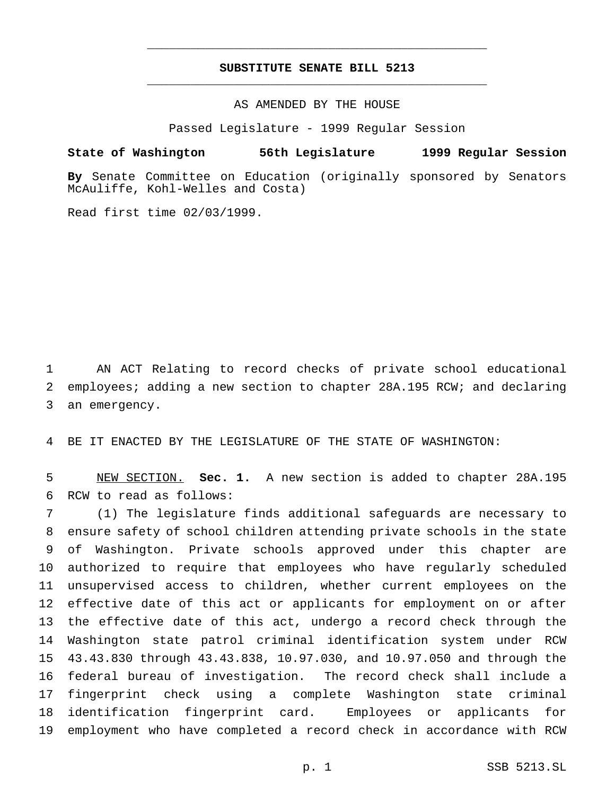## **SUBSTITUTE SENATE BILL 5213** \_\_\_\_\_\_\_\_\_\_\_\_\_\_\_\_\_\_\_\_\_\_\_\_\_\_\_\_\_\_\_\_\_\_\_\_\_\_\_\_\_\_\_\_\_\_\_

\_\_\_\_\_\_\_\_\_\_\_\_\_\_\_\_\_\_\_\_\_\_\_\_\_\_\_\_\_\_\_\_\_\_\_\_\_\_\_\_\_\_\_\_\_\_\_

AS AMENDED BY THE HOUSE

Passed Legislature - 1999 Regular Session

## **State of Washington 56th Legislature 1999 Regular Session**

**By** Senate Committee on Education (originally sponsored by Senators McAuliffe, Kohl-Welles and Costa)

Read first time 02/03/1999.

 AN ACT Relating to record checks of private school educational employees; adding a new section to chapter 28A.195 RCW; and declaring an emergency.

BE IT ENACTED BY THE LEGISLATURE OF THE STATE OF WASHINGTON:

 NEW SECTION. **Sec. 1.** A new section is added to chapter 28A.195 RCW to read as follows:

 (1) The legislature finds additional safeguards are necessary to ensure safety of school children attending private schools in the state of Washington. Private schools approved under this chapter are authorized to require that employees who have regularly scheduled unsupervised access to children, whether current employees on the effective date of this act or applicants for employment on or after the effective date of this act, undergo a record check through the Washington state patrol criminal identification system under RCW 43.43.830 through 43.43.838, 10.97.030, and 10.97.050 and through the federal bureau of investigation. The record check shall include a fingerprint check using a complete Washington state criminal identification fingerprint card. Employees or applicants for employment who have completed a record check in accordance with RCW